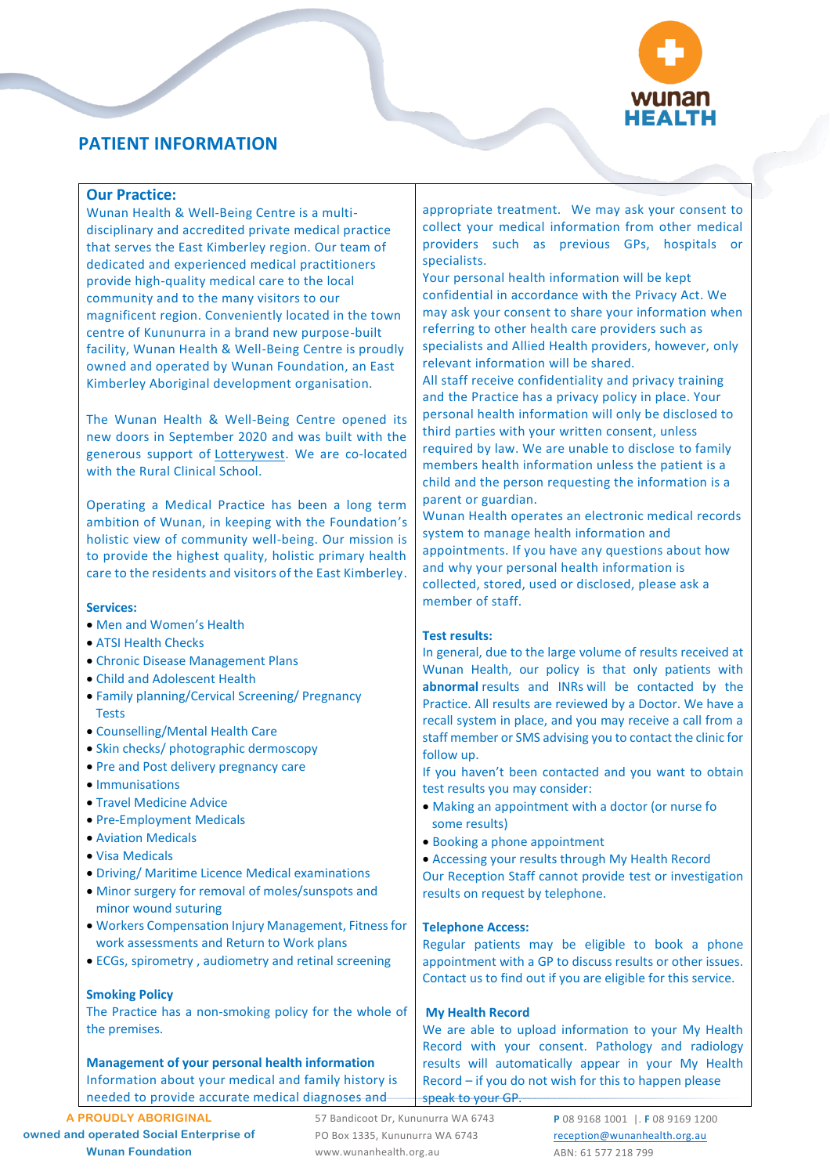

# **PATIENT INFORMATION**

# **Our Practice:**

Wunan Health & Well-Being Centre is a multidisciplinary and accredited private medical practice that serves the East Kimberley region. Our team of dedicated and experienced medical practitioners provide high-quality medical care to the local community and to the many visitors to our magnificent region. Conveniently located in the town centre of Kununurra in a brand new purpose-built facility, Wunan Health & Well-Being Centre is proudly owned and operated by [Wunan Foundation,](http://www.wunan.org.au/) an East Kimberley Aboriginal development organisation.

The Wunan Health & Well-Being Centre opened its new doors in September 2020 and was built with the generous support of [Lotterywest.](https://www.lotterywest.wa.gov.au/) We are co-located with the Rural Clinical School.

Operating a Medical Practice has been a long term ambition of Wunan, in keeping with the Foundation's holistic view of community well-being. Our mission is to provide the highest quality, holistic primary health care to the residents and visitors of the East Kimberley.

## **Services:**

- Men and Women's Health
- ATSI Health Checks
- Chronic Disease Management Plans
- Child and Adolescent Health
- Family planning/Cervical Screening/ Pregnancy Tests
- Counselling/Mental Health Care
- Skin checks/ photographic dermoscopy
- Pre and Post delivery pregnancy care
- Immunisations
- Travel Medicine Advice
- Pre-Employment Medicals
- Aviation Medicals
- Visa Medicals
- Driving/ Maritime Licence Medical examinations
- Minor surgery for removal of moles/sunspots and minor wound suturing
- Workers Compensation Injury Management, Fitness for work assessments and Return to Work plans
- ECGs, spirometry , audiometry and retinal screening

# **Smoking Policy**

The Practice has a non-smoking policy for the whole of the premises.

**Management of your personal health information** Information about your medical and family history is needed to provide accurate medical diagnoses and

57 Bandicoot Dr, Kununurra WA 6743 PO Box 1335, Kununurra WA 6743 www.wunanhealth.org.au

appropriate treatment. We may ask your consent to collect your medical information from other medical providers such as previous GPs, hospitals or specialists.

Your personal health information will be kept confidential in accordance with the Privacy Act. We may ask your consent to share your information when referring to other health care providers such as specialists and Allied Health providers, however, only relevant information will be shared.

All staff receive confidentiality and privacy training and the Practice has a privacy policy in place. Your personal health information will only be disclosed to third parties with your written consent, unless required by law. We are unable to disclose to family members health information unless the patient is a child and the person requesting the information is a parent or guardian.

Wunan Health operates an electronic medical records system to manage health information and appointments. If you have any questions about how and why your personal health information is collected, stored, used or disclosed, please ask a member of staff.

# **Test results:**

In general, due to the large volume of results received at Wunan Health, our policy is that only patients with **abnormal** results and INRs will be contacted by the Practice. All results are reviewed by a Doctor. We have a recall system in place, and you may receive a call from a staff member or SMS advising you to contact the clinic for follow up.

If you haven't been contacted and you want to obtain test results you may consider:

- Making an appointment with a doctor (or nurse fo some results)
- Booking a phone appointment
- Accessing your results through My Health Record

Our Reception Staff cannot provide test or investigation results on request by telephone.

### **Telephone Access:**

Regular patients may be eligible to book a phone appointment with a GP to discuss results or other issues. Contact us to find out if you are eligible for this service.

# **My Health Record**

We are able to upload information to your My Health Record with your consent. Pathology and radiology results will automatically appear in your My Health Record – if you do not wish for this to happen please speak to your GP.

> **P** 08 9168 1001 |. **F** 08 9169 1200 [reception@wunanhealth.org.au](mailto:reception@wunanhealth.org.au) ABN: 61 577 218 799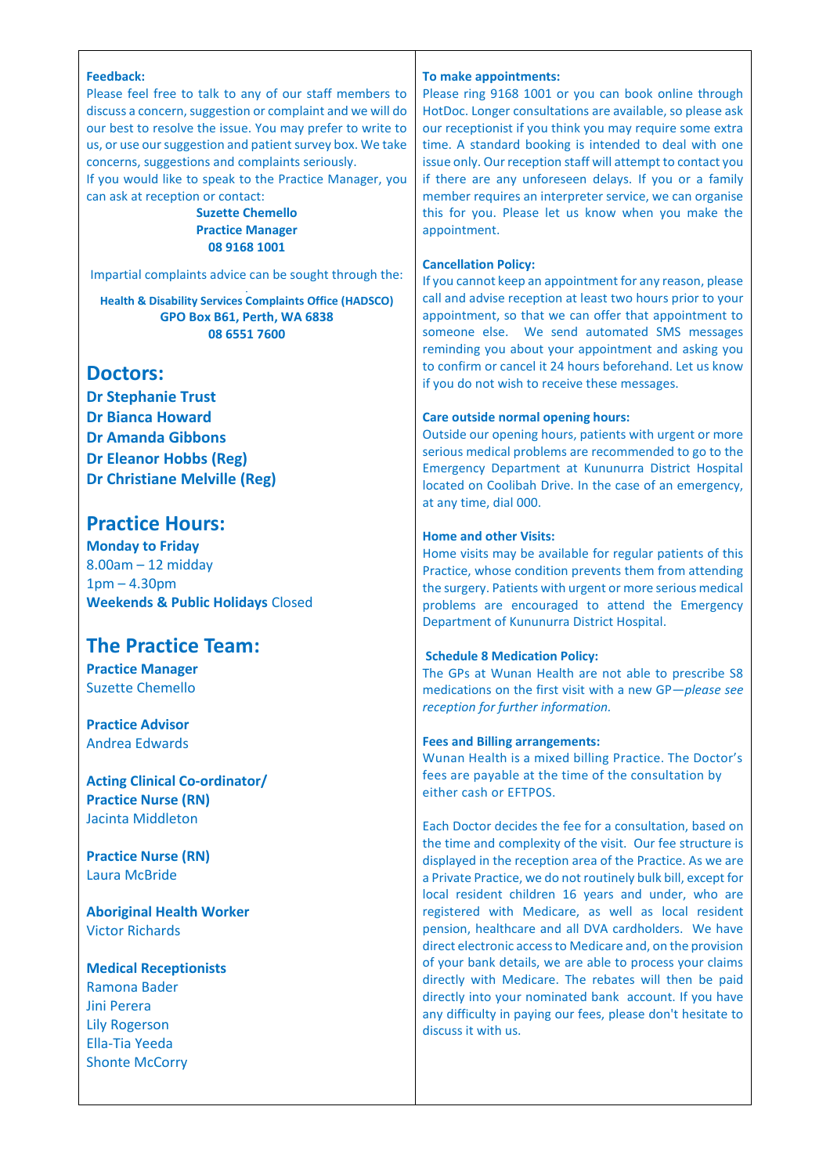### **Feedback:**

Please feel free to talk to any of our staff members to discuss a concern, suggestion or complaint and we will do our best to resolve the issue. You may prefer to write to us, or use our suggestion and patient survey box. We take concerns, suggestions and complaints seriously.

If you would like to speak to the Practice Manager, you can ask at reception or contact:

## **Suzette Chemello Practice Manager 08 9168 1001**

Impartial complaints advice can be sought through the:

# **Health & Disability Services Complaints Office (HADSCO) GPO Box B61, Perth, WA 6838 08 6551 7600**

# **Doctors:**

**Dr Stephanie Trust Dr Bianca Howard Dr Amanda Gibbons Dr Eleanor Hobbs (Reg) Dr Christiane Melville (Reg)**

# **Practice Hours:**

**Monday to Friday** 8.00am – 12 midday 1pm – 4.30pm **Weekends & Public Holidays** Closed

# **The Practice Team:**

**Practice Manager** Suzette Chemello

**Practice Advisor** Andrea Edwards

**Acting Clinical Co-ordinator/ Practice Nurse (RN)** Jacinta Middleton

**Practice Nurse (RN)** Laura McBride

**Aboriginal Health Worker** Victor Richards

# **Medical Receptionists**

Ramona Bader Jini Perera Lily Rogerson Ella-Tia Yeeda Shonte McCorry

#### **To make appointments:**

Please ring 9168 1001 or you can book online through HotDoc. Longer consultations are available, so please ask our receptionist if you think you may require some extra time. A standard booking is intended to deal with one issue only. Our reception staff will attempt to contact you if there are any unforeseen delays. If you or a family member requires an interpreter service, we can organise this for you. Please let us know when you make the appointment.

### **Cancellation Policy:**

If you cannot keep an appointment for any reason, please call and advise reception at least two hours prior to your appointment, so that we can offer that appointment to someone else. We send automated SMS messages reminding you about your appointment and asking you to confirm or cancel it 24 hours beforehand. Let us know if you do not wish to receive these messages.

### **Care outside normal opening hours:**

Outside our opening hours, patients with urgent or more serious medical problems are recommended to go to the Emergency Department at Kununurra District Hospital located on Coolibah Drive. In the case of an emergency, at any time, dial 000.

### **Home and other Visits:**

Home visits may be available for regular patients of this Practice, whose condition prevents them from attending the surgery. Patients with urgent or more serious medical problems are encouraged to attend the Emergency Department of Kununurra District Hospital.

### **Schedule 8 Medication Policy:**

The GPs at Wunan Health are not able to prescribe S8 medications on the first visit with a new GP—*please see reception for further information.*

### **Fees and Billing arrangements:**

Wunan Health is a mixed billing Practice. The Doctor's fees are payable at the time of the consultation by either cash or EFTPOS.

Each Doctor decides the fee for a consultation, based on the time and complexity of the visit. Our fee structure is displayed in the reception area of the Practice. As we are a Private Practice, we do not routinely bulk bill, except for local resident children 16 years and under, who are registered with Medicare, as well as local resident pension, healthcare and all DVA cardholders. We have direct electronic access to Medicare and, on the provision of your bank details, we are able to process your claims directly with Medicare. The rebates will then be paid directly into your nominated bank account. If you have any difficulty in paying our fees, please don't hesitate to discuss it with us.